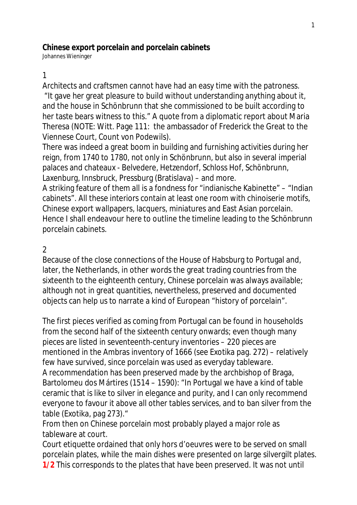#### **Chinese export porcelain and porcelain cabinets**

Johannes Wieninger

#### 1

Architects and craftsmen cannot have had an easy time with the patroness.

"It gave her great pleasure to build without understanding anything about it, and the house in Schönbrunn that she commissioned to be built according to her taste bears witness to this." A quote from a diplomatic report about Maria Theresa (NOTE: Witt. Page 111: the ambassador of Frederick the Great to the Viennese Court, Count von Podewils).

There was indeed a great boom in building and furnishing activities during her reign, from 1740 to 1780, not only in Schönbrunn, but also in several imperial palaces and chateaux - Belvedere, Hetzendorf, Schloss Hof, Schönbrunn, Laxenburg, Innsbruck, Pressburg (Bratislava) – and more.

A striking feature of them all is a fondness for "indianische Kabinette" – "Indian cabinets". All these interiors contain at least one room with chinoiserie motifs, Chinese export wallpapers, lacquers, miniatures and East Asian porcelain. Hence I shall endeavour here to outline the timeline leading to the Schönbrunn porcelain cabinets.

## 2

Because of the close connections of the House of Habsburg to Portugal and, later, the Netherlands, in other words the great trading countries from the sixteenth to the eighteenth century, Chinese porcelain was always available; although not in great quantities, nevertheless, preserved and documented objects can help us to narrate a kind of European "history of porcelain".

The first pieces verified as coming from Portugal can be found in households from the second half of the sixteenth century onwards; even though many pieces are listed in seventeenth-century inventories – 220 pieces are mentioned in the Ambras inventory of 1666 (see Exotika pag. 272) – relatively few have survived, since porcelain was used as everyday tableware.

A recommendation has been preserved made by the archbishop of Braga, Bartolomeu dos Mártires (1514 – 1590): "In Portugal we have a kind of table ceramic that is like to silver in elegance and purity, and I can only recommend everyone to favour it above all other tables services, and to ban silver from the table (Exotika, pag 273)."

From then on Chinese porcelain most probably played a major role as tableware at court.

Court etiquette ordained that only hors d'oeuvres were to be served on small porcelain plates, while the main dishes were presented on large silvergilt plates. **1/2** This corresponds to the plates that have been preserved. It was not until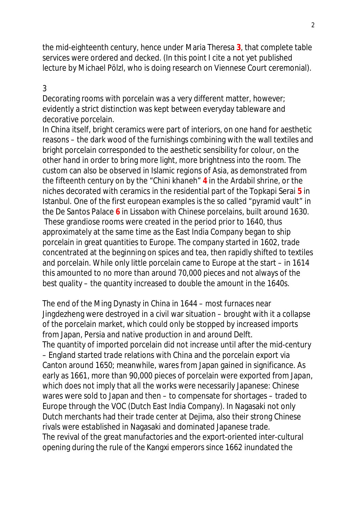the mid-eighteenth century, hence under Maria Theresa **3**, that complete table services were ordered and decked. (In this point I cite a not yet published lecture by Michael Pölzl, who is doing research on Viennese Court ceremonial).

## 3

Decorating rooms with porcelain was a very different matter, however; evidently a strict distinction was kept between everyday tableware and decorative porcelain.

In China itself, bright ceramics were part of interiors, on one hand for aesthetic reasons – the dark wood of the furnishings combining with the wall textiles and bright porcelain corresponded to the aesthetic sensibility for colour, on the other hand in order to bring more light, more brightness into the room. The custom can also be observed in Islamic regions of Asia, as demonstrated from the fifteenth century on by the "Chini khaneh" **4** in the Ardabil shrine, or the niches decorated with ceramics in the residential part of the Topkapi Serai **5** in Istanbul. One of the first european examples is the so called "pyramid vault" in the De Santos Palace **6** in Lissabon with Chinese porcelains, built around 1630. These grandiose rooms were created in the period prior to 1640, thus approximately at the same time as the East India Company began to ship porcelain in great quantities to Europe. The company started in 1602, trade concentrated at the beginning on spices and tea, then rapidly shifted to textiles and porcelain. While only little porcelain came to Europe at the start – in 1614 this amounted to no more than around 70,000 pieces and not always of the best quality – the quantity increased to double the amount in the 1640s.

The end of the Ming Dynasty in China in 1644 – most furnaces near Jingdezheng were destroyed in a civil war situation – brought with it a collapse of the porcelain market, which could only be stopped by increased imports from Japan, Persia and native production in and around Delft. The quantity of imported porcelain did not increase until after the mid-century – England started trade relations with China and the porcelain export via Canton around 1650; meanwhile, wares from Japan gained in significance. As early as 1661, more than 90,000 pieces of porcelain were exported from Japan, which does not imply that all the works were necessarily Japanese: Chinese wares were sold to Japan and then – to compensate for shortages – traded to Europe through the VOC (Dutch East India Company). In Nagasaki not only Dutch merchants had their trade center at Dejima, also their strong Chinese rivals were established in Nagasaki and dominated Japanese trade. The revival of the great manufactories and the export-oriented inter-cultural opening during the rule of the Kangxi emperors since 1662 inundated the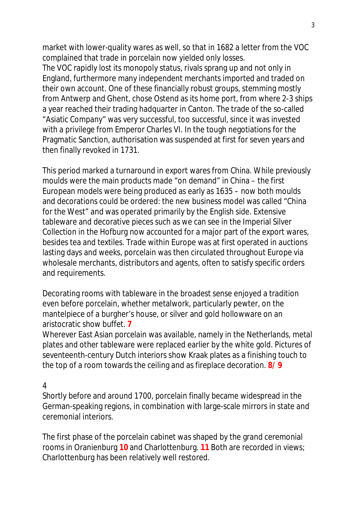market with lower-quality wares as well, so that in 1682 a letter from the VOC complained that trade in porcelain now yielded only losses.

The VOC rapidly lost its monopoly status, rivals sprang up and not only in England, furthermore many independent merchants imported and traded on their own account. One of these financially robust groups, stemming mostly from Antwerp and Ghent, chose Ostend as its home port, from where 2-3 ships a year reached their trading hadquarter in Canton. The trade of the so-called "Asiatic Company" was very successful, too successful, since it was invested with a privilege from Emperor Charles VI. In the tough negotiations for the Pragmatic Sanction, authorisation was suspended at first for seven years and then finally revoked in 1731.

This period marked a turnaround in export wares from China. While previously moulds were the main products made "on demand" in China – the first European models were being produced as early as 1635 – now both moulds and decorations could be ordered: the new business model was called "China for the West" and was operated primarily by the English side. Extensive tableware and decorative pieces such as we can see in the Imperial Silver Collection in the Hofburg now accounted for a major part of the export wares, besides tea and textiles. Trade within Europe was at first operated in auctions lasting days and weeks, porcelain was then circulated throughout Europe via wholesale merchants, distributors and agents, often to satisfy specific orders and requirements.

Decorating rooms with tableware in the broadest sense enjoyed a tradition even before porcelain, whether metalwork, particularly pewter, on the mantelpiece of a burgher's house, or silver and gold hollowware on an aristocratic show buffet. **7**

Wherever East Asian porcelain was available, namely in the Netherlands, metal plates and other tableware were replaced earlier by the white gold. Pictures of seventeenth-century Dutch interiors show Kraak plates as a finishing touch to the top of a room towards the ceiling and as fireplace decoration. **8/ 9**

#### 4

Shortly before and around 1700, porcelain finally became widespread in the German-speaking regions, in combination with large-scale mirrors in state and ceremonial interiors.

The first phase of the porcelain cabinet was shaped by the grand ceremonial rooms in Oranienburg **10** and Charlottenburg. **11** Both are recorded in views; Charlottenburg has been relatively well restored.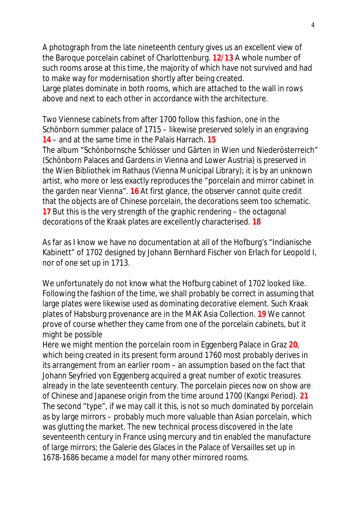A photograph from the late nineteenth century gives us an excellent view of the Baroque porcelain cabinet of Charlottenburg. **12/13** A whole number of such rooms arose at this time, the majority of which have not survived and had to make way for modernisation shortly after being created. Large plates dominate in both rooms, which are attached to the wall in rows

above and next to each other in accordance with the architecture.

Two Viennese cabinets from after 1700 follow this fashion, one in the Schönborn summer palace of 1715 – likewise preserved solely in an engraving **14** – and at the same time in the Palais Harrach. **15**

The album "Schönbornsche Schlösser und Gärten in Wien und Niederösterreich" (Schönborn Palaces and Gardens in Vienna and Lower Austria) is preserved in the Wien Bibliothek im Rathaus (Vienna Municipal Library); it is by an unknown artist, who more or less exactly reproduces the "porcelain and mirror cabinet in the garden near Vienna". **16** At first glance, the observer cannot quite credit that the objects are of Chinese porcelain, the decorations seem too schematic. **17** But this is the very strength of the graphic rendering – the octagonal decorations of the Kraak plates are excellently characterised. **18**

As far as I know we have no documentation at all of the Hofburg's "Indianische Kabinett" of 1702 designed by Johann Bernhard Fischer von Erlach for Leopold I, nor of one set up in 1713.

We unfortunately do not know what the Hofburg cabinet of 1702 looked like. Following the fashion of the time, we shall probably be correct in assuming that large plates were likewise used as dominating decorative element. Such Kraak plates of Habsburg provenance are in the MAK Asia Collection. **19** We cannot prove of course whether they came from one of the porcelain cabinets, but it might be possible

Here we might mention the porcelain room in Eggenberg Palace in Graz **20**, which being created in its present form around 1760 most probably derives in its arrangement from an earlier room – an assumption based on the fact that Johann Seyfried von Eggenberg acquired a great number of exotic treasures already in the late seventeenth century. The porcelain pieces now on show are of Chinese and Japanese origin from the time around 1700 (Kangxi Period). **21** The second "type", if we may call it this, is not so much dominated by porcelain as by large mirrors – probably much more valuable than Asian porcelain, which was glutting the market. The new technical process discovered in the late seventeenth century in France using mercury and tin enabled the manufacture of large mirrors; the Galerie des Glaces in the Palace of Versailles set up in 1678-1686 became a model for many other mirrored rooms.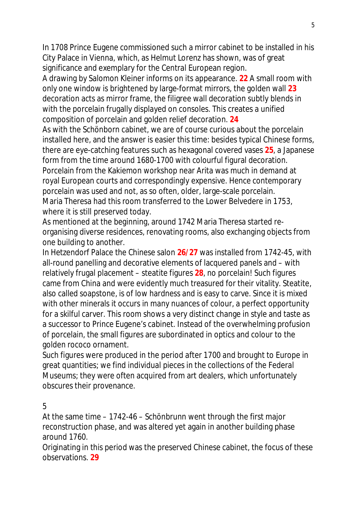In 1708 Prince Eugene commissioned such a mirror cabinet to be installed in his City Palace in Vienna, which, as Helmut Lorenz has shown, was of great significance and exemplary for the Central European region.

A drawing by Salomon Kleiner informs on its appearance. **22** A small room with only one window is brightened by large-format mirrors, the golden wall **23** decoration acts as mirror frame, the filigree wall decoration subtly blends in with the porcelain frugally displayed on consoles. This creates a unified composition of porcelain and golden relief decoration. **24**

As with the Schönborn cabinet, we are of course curious about the porcelain installed here, and the answer is easier this time: besides typical Chinese forms, there are eye-catching features such as hexagonal covered vases **25**, a Japanese form from the time around 1680-1700 with colourful figural decoration. Porcelain from the Kakiemon workshop near Arita was much in demand at royal European courts and correspondingly expensive. Hence contemporary porcelain was used and not, as so often, older, large-scale porcelain. Maria Theresa had this room transferred to the Lower Belvedere in 1753, where it is still preserved today.

As mentioned at the beginning, around 1742 Maria Theresa started reorganising diverse residences, renovating rooms, also exchanging objects from one building to another.

In Hetzendorf Palace the Chinese salon **26/27** was installed from 1742-45, with all-round panelling and decorative elements of lacquered panels and – with relatively frugal placement – steatite figures **28**, no porcelain! Such figures came from China and were evidently much treasured for their vitality. Steatite, also called soapstone, is of low hardness and is easy to carve. Since it is mixed with other minerals it occurs in many nuances of colour, a perfect opportunity for a skilful carver. This room shows a very distinct change in style and taste as a successor to Prince Eugene's cabinet. Instead of the overwhelming profusion of porcelain, the small figures are subordinated in optics and colour to the golden rococo ornament.

Such figures were produced in the period after 1700 and brought to Europe in great quantities; we find individual pieces in the collections of the Federal Museums; they were often acquired from art dealers, which unfortunately obscures their provenance.

## 5

At the same time – 1742-46 – Schönbrunn went through the first major reconstruction phase, and was altered yet again in another building phase around 1760.

Originating in this period was the preserved Chinese cabinet, the focus of these observations. **29**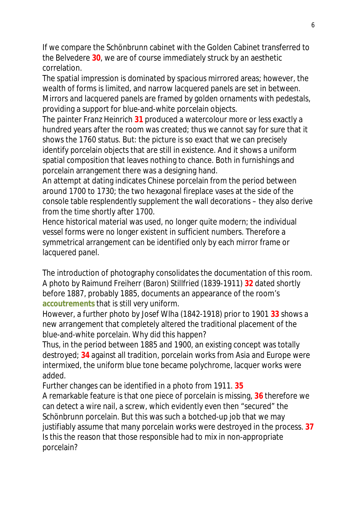If we compare the Schönbrunn cabinet with the Golden Cabinet transferred to the Belvedere **30**, we are of course immediately struck by an aesthetic correlation.

The spatial impression is dominated by spacious mirrored areas; however, the wealth of forms is limited, and narrow lacquered panels are set in between. Mirrors and lacquered panels are framed by golden ornaments with pedestals, providing a support for blue-and-white porcelain objects.

The painter Franz Heinrich **31** produced a watercolour more or less exactly a hundred years after the room was created; thus we cannot say for sure that it shows the 1760 status. But: the picture is so exact that we can precisely identify porcelain objects that are still in existence. And it shows a uniform spatial composition that leaves nothing to chance. Both in furnishings and porcelain arrangement there was a designing hand.

An attempt at dating indicates Chinese porcelain from the period between around 1700 to 1730; the two hexagonal fireplace vases at the side of the console table resplendently supplement the wall decorations – they also derive from the time shortly after 1700.

Hence historical material was used, no longer quite modern; the individual vessel forms were no longer existent in sufficient numbers. Therefore a symmetrical arrangement can be identified only by each mirror frame or lacquered panel.

The introduction of photography consolidates the documentation of this room. A photo by Raimund Freiherr (Baron) Stillfried (1839-1911) **32** dated shortly before 1887, probably 1885, documents an appearance of the room's **accoutrements** that is still very uniform.

However, a further photo by Josef Wlha (1842-1918) prior to 1901 **33** shows a new arrangement that completely altered the traditional placement of the blue-and-white porcelain. Why did this happen?

Thus, in the period between 1885 and 1900, an existing concept was totally destroyed; **34** against all tradition, porcelain works from Asia and Europe were intermixed, the uniform blue tone became polychrome, lacquer works were added.

Further changes can be identified in a photo from 1911. **35**

A remarkable feature is that one piece of porcelain is missing, **36** therefore we can detect a wire nail, a screw, which evidently even then "secured" the Schönbrunn porcelain. But this was such a botched-up job that we may justifiably assume that many porcelain works were destroyed in the process. **37** Is this the reason that those responsible had to mix in non-appropriate porcelain?